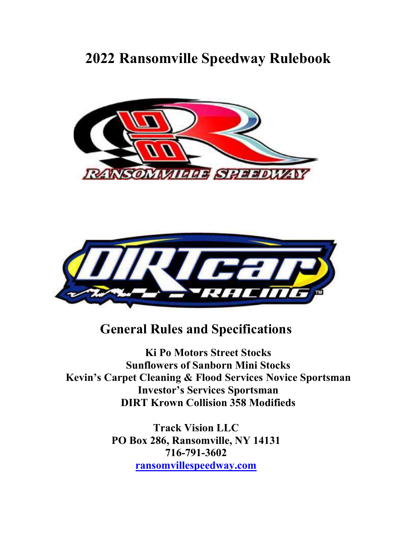# 2022 Ransomville Speedway Rulebook





# General Rules and Specifications

Ki Po Motors Street Stocks Sunflowers of Sanborn Mini Stocks Kevin's Carpet Cleaning & Flood Services Novice Sportsman Investor's Services Sportsman DIRT Krown Collision 358 Modifieds

> Track Vision LLC PO Box 286, Ransomville, NY 14131 716-791-3602 ransomvillespeedway.com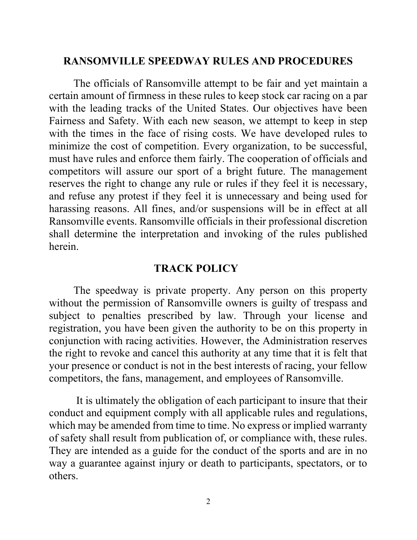### RANSOMVILLE SPEEDWAY RULES AND PROCEDURES

The officials of Ransomville attempt to be fair and yet maintain a certain amount of firmness in these rules to keep stock car racing on a par with the leading tracks of the United States. Our objectives have been Fairness and Safety. With each new season, we attempt to keep in step with the times in the face of rising costs. We have developed rules to minimize the cost of competition. Every organization, to be successful, must have rules and enforce them fairly. The cooperation of officials and competitors will assure our sport of a bright future. The management reserves the right to change any rule or rules if they feel it is necessary, and refuse any protest if they feel it is unnecessary and being used for harassing reasons. All fines, and/or suspensions will be in effect at all Ransomville events. Ransomville officials in their professional discretion shall determine the interpretation and invoking of the rules published herein.

### TRACK POLICY

The speedway is private property. Any person on this property without the permission of Ransomville owners is guilty of trespass and subject to penalties prescribed by law. Through your license and registration, you have been given the authority to be on this property in conjunction with racing activities. However, the Administration reserves the right to revoke and cancel this authority at any time that it is felt that your presence or conduct is not in the best interests of racing, your fellow competitors, the fans, management, and employees of Ransomville.

 It is ultimately the obligation of each participant to insure that their conduct and equipment comply with all applicable rules and regulations, which may be amended from time to time. No express or implied warranty of safety shall result from publication of, or compliance with, these rules. They are intended as a guide for the conduct of the sports and are in no way a guarantee against injury or death to participants, spectators, or to others.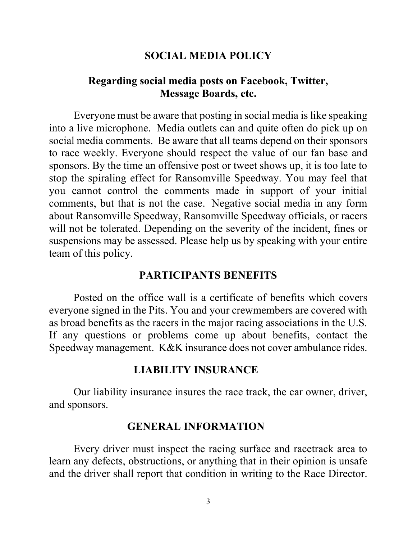### SOCIAL MEDIA POLICY

### Regarding social media posts on Facebook, Twitter, Message Boards, etc.

Everyone must be aware that posting in social media is like speaking into a live microphone. Media outlets can and quite often do pick up on social media comments. Be aware that all teams depend on their sponsors to race weekly. Everyone should respect the value of our fan base and sponsors. By the time an offensive post or tweet shows up, it is too late to stop the spiraling effect for Ransomville Speedway. You may feel that you cannot control the comments made in support of your initial comments, but that is not the case. Negative social media in any form about Ransomville Speedway, Ransomville Speedway officials, or racers will not be tolerated. Depending on the severity of the incident, fines or suspensions may be assessed. Please help us by speaking with your entire team of this policy.

### PARTICIPANTS BENEFITS

Posted on the office wall is a certificate of benefits which covers everyone signed in the Pits. You and your crewmembers are covered with as broad benefits as the racers in the major racing associations in the U.S. If any questions or problems come up about benefits, contact the Speedway management. K&K insurance does not cover ambulance rides.

### LIABILITY INSURANCE

Our liability insurance insures the race track, the car owner, driver, and sponsors.

### GENERAL INFORMATION

Every driver must inspect the racing surface and racetrack area to learn any defects, obstructions, or anything that in their opinion is unsafe and the driver shall report that condition in writing to the Race Director.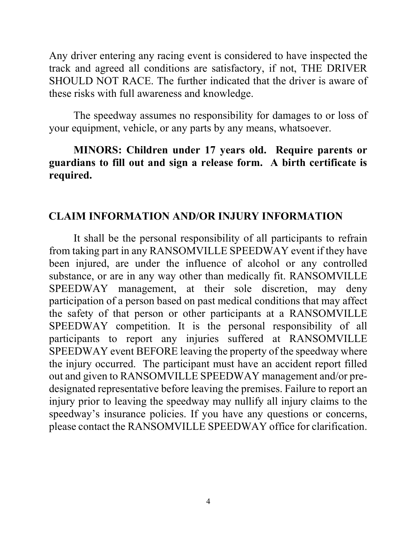Any driver entering any racing event is considered to have inspected the track and agreed all conditions are satisfactory, if not, THE DRIVER SHOULD NOT RACE. The further indicated that the driver is aware of these risks with full awareness and knowledge.

The speedway assumes no responsibility for damages to or loss of your equipment, vehicle, or any parts by any means, whatsoever.

### MINORS: Children under 17 years old. Require parents or guardians to fill out and sign a release form. A birth certificate is required.

### CLAIM INFORMATION AND/OR INJURY INFORMATION

It shall be the personal responsibility of all participants to refrain from taking part in any RANSOMVILLE SPEEDWAY event if they have been injured, are under the influence of alcohol or any controlled substance, or are in any way other than medically fit. RANSOMVILLE SPEEDWAY management, at their sole discretion, may deny participation of a person based on past medical conditions that may affect the safety of that person or other participants at a RANSOMVILLE SPEEDWAY competition. It is the personal responsibility of all participants to report any injuries suffered at RANSOMVILLE SPEEDWAY event BEFORE leaving the property of the speedway where the injury occurred. The participant must have an accident report filled out and given to RANSOMVILLE SPEEDWAY management and/or predesignated representative before leaving the premises. Failure to report an injury prior to leaving the speedway may nullify all injury claims to the speedway's insurance policies. If you have any questions or concerns, please contact the RANSOMVILLE SPEEDWAY office for clarification.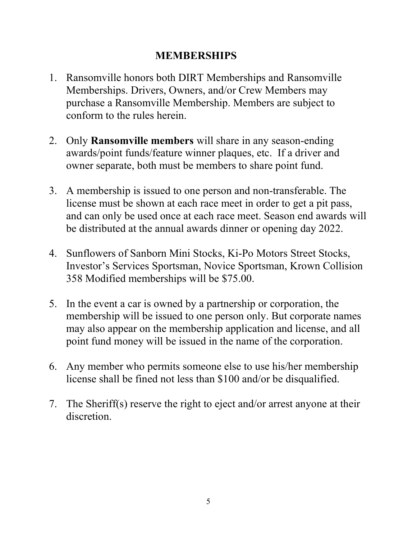# MEMBERSHIPS

- 1. Ransomville honors both DIRT Memberships and Ransomville Memberships. Drivers, Owners, and/or Crew Members may purchase a Ransomville Membership. Members are subject to conform to the rules herein.
- 2. Only Ransomville members will share in any season-ending awards/point funds/feature winner plaques, etc. If a driver and owner separate, both must be members to share point fund.
- 3. A membership is issued to one person and non-transferable. The license must be shown at each race meet in order to get a pit pass, and can only be used once at each race meet. Season end awards will be distributed at the annual awards dinner or opening day 2022.
- 4. Sunflowers of Sanborn Mini Stocks, Ki-Po Motors Street Stocks, Investor's Services Sportsman, Novice Sportsman, Krown Collision 358 Modified memberships will be \$75.00.
- 5. In the event a car is owned by a partnership or corporation, the membership will be issued to one person only. But corporate names may also appear on the membership application and license, and all point fund money will be issued in the name of the corporation.
- 6. Any member who permits someone else to use his/her membership license shall be fined not less than \$100 and/or be disqualified.
- 7. The Sheriff(s) reserve the right to eject and/or arrest anyone at their discretion.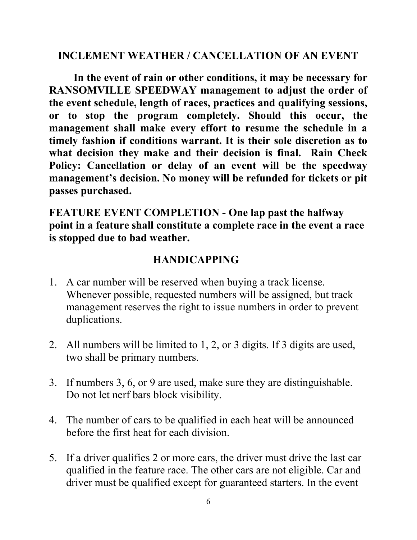### INCLEMENT WEATHER / CANCELLATION OF AN EVENT

In the event of rain or other conditions, it may be necessary for RANSOMVILLE SPEEDWAY management to adjust the order of the event schedule, length of races, practices and qualifying sessions, or to stop the program completely. Should this occur, the management shall make every effort to resume the schedule in a timely fashion if conditions warrant. It is their sole discretion as to what decision they make and their decision is final. Rain Check Policy: Cancellation or delay of an event will be the speedway management's decision. No money will be refunded for tickets or pit passes purchased.

FEATURE EVENT COMPLETION - One lap past the halfway point in a feature shall constitute a complete race in the event a race is stopped due to bad weather.

# HANDICAPPING

- 1. A car number will be reserved when buying a track license. Whenever possible, requested numbers will be assigned, but track management reserves the right to issue numbers in order to prevent duplications.
- 2. All numbers will be limited to 1, 2, or 3 digits. If 3 digits are used, two shall be primary numbers.
- 3. If numbers 3, 6, or 9 are used, make sure they are distinguishable. Do not let nerf bars block visibility.
- 4. The number of cars to be qualified in each heat will be announced before the first heat for each division.
- 5. If a driver qualifies 2 or more cars, the driver must drive the last car qualified in the feature race. The other cars are not eligible. Car and driver must be qualified except for guaranteed starters. In the event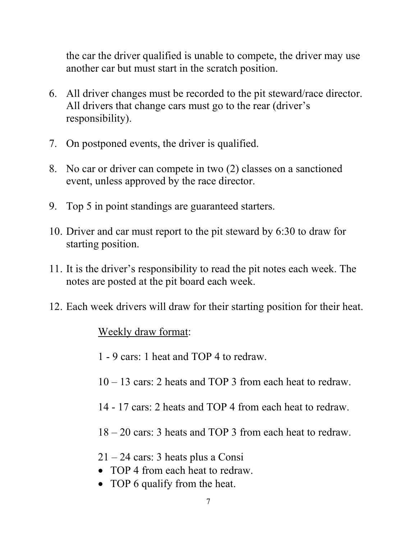the car the driver qualified is unable to compete, the driver may use another car but must start in the scratch position.

- 6. All driver changes must be recorded to the pit steward/race director. All drivers that change cars must go to the rear (driver's responsibility).
- 7. On postponed events, the driver is qualified.
- 8. No car or driver can compete in two (2) classes on a sanctioned event, unless approved by the race director.
- 9. Top 5 in point standings are guaranteed starters.
- 10. Driver and car must report to the pit steward by 6:30 to draw for starting position.
- 11. It is the driver's responsibility to read the pit notes each week. The notes are posted at the pit board each week.
- 12. Each week drivers will draw for their starting position for their heat.

### Weekly draw format:

- 1 9 cars: 1 heat and TOP 4 to redraw.
- 10 13 cars: 2 heats and TOP 3 from each heat to redraw.
- 14 17 cars: 2 heats and TOP 4 from each heat to redraw.
- 18 20 cars: 3 heats and TOP 3 from each heat to redraw.
- 21 24 cars: 3 heats plus a Consi
- TOP 4 from each heat to redraw.
- TOP 6 qualify from the heat.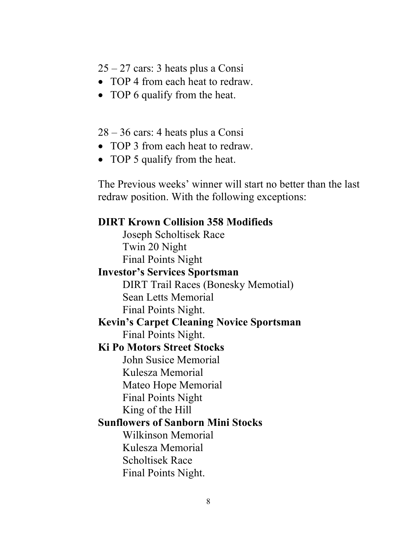25 – 27 cars: 3 heats plus a Consi

- TOP 4 from each heat to redraw.
- TOP 6 qualify from the heat.

28 – 36 cars: 4 heats plus a Consi

- TOP 3 from each heat to redraw.
- TOP 5 qualify from the heat.

The Previous weeks' winner will start no better than the last redraw position. With the following exceptions:

# DIRT Krown Collision 358 Modifieds Joseph Scholtisek Race Twin 20 Night Final Points Night Investor's Services Sportsman DIRT Trail Races (Bonesky Memotial) Sean Letts Memorial Final Points Night. Kevin's Carpet Cleaning Novice Sportsman Final Points Night. Ki Po Motors Street Stocks John Susice Memorial Kulesza Memorial Mateo Hope Memorial Final Points Night King of the Hill Sunflowers of Sanborn Mini Stocks Wilkinson Memorial Kulesza Memorial Scholtisek Race Final Points Night.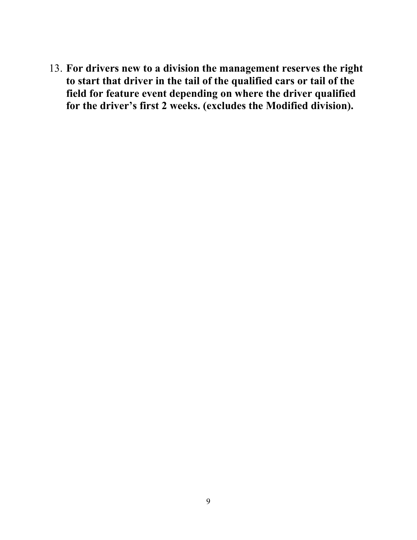13. For drivers new to a division the management reserves the right to start that driver in the tail of the qualified cars or tail of the field for feature event depending on where the driver qualified for the driver's first 2 weeks. (excludes the Modified division).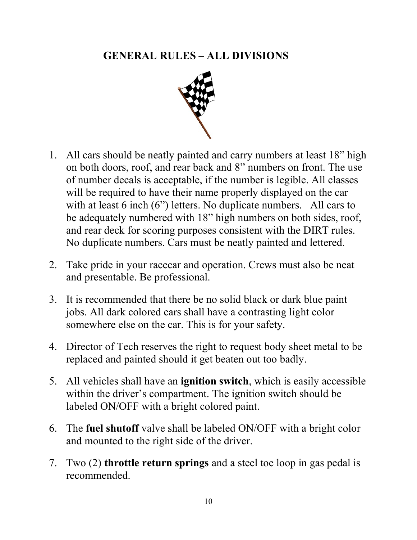# GENERAL RULES – ALL DIVISIONS



- 1. All cars should be neatly painted and carry numbers at least 18" high on both doors, roof, and rear back and 8" numbers on front. The use of number decals is acceptable, if the number is legible. All classes will be required to have their name properly displayed on the car with at least 6 inch (6") letters. No duplicate numbers. All cars to be adequately numbered with 18" high numbers on both sides, roof, and rear deck for scoring purposes consistent with the DIRT rules. No duplicate numbers. Cars must be neatly painted and lettered.
- 2. Take pride in your racecar and operation. Crews must also be neat and presentable. Be professional.
- 3. It is recommended that there be no solid black or dark blue paint jobs. All dark colored cars shall have a contrasting light color somewhere else on the car. This is for your safety.
- 4. Director of Tech reserves the right to request body sheet metal to be replaced and painted should it get beaten out too badly.
- 5. All vehicles shall have an ignition switch, which is easily accessible within the driver's compartment. The ignition switch should be labeled ON/OFF with a bright colored paint.
- 6. The fuel shutoff valve shall be labeled ON/OFF with a bright color and mounted to the right side of the driver.
- 7. Two (2) throttle return springs and a steel toe loop in gas pedal is recommended.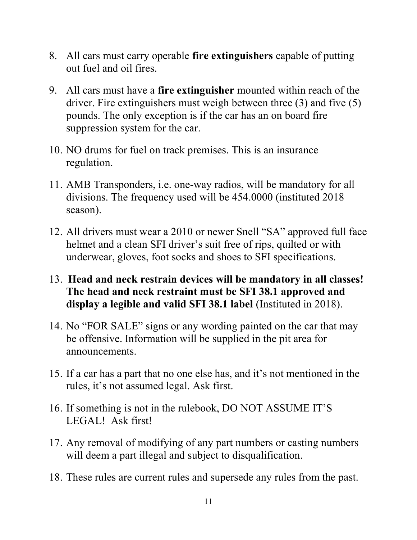- 8. All cars must carry operable fire extinguishers capable of putting out fuel and oil fires.
- 9. All cars must have a fire extinguisher mounted within reach of the driver. Fire extinguishers must weigh between three (3) and five (5) pounds. The only exception is if the car has an on board fire suppression system for the car.
- 10. NO drums for fuel on track premises. This is an insurance regulation.
- 11. AMB Transponders, i.e. one-way radios, will be mandatory for all divisions. The frequency used will be 454.0000 (instituted 2018 season).
- 12. All drivers must wear a 2010 or newer Snell "SA" approved full face helmet and a clean SFI driver's suit free of rips, quilted or with underwear, gloves, foot socks and shoes to SFI specifications.
- 13. Head and neck restrain devices will be mandatory in all classes! The head and neck restraint must be SFI 38.1 approved and display a legible and valid SFI 38.1 label (Instituted in 2018).
- 14. No "FOR SALE" signs or any wording painted on the car that may be offensive. Information will be supplied in the pit area for announcements.
- 15. If a car has a part that no one else has, and it's not mentioned in the rules, it's not assumed legal. Ask first.
- 16. If something is not in the rulebook, DO NOT ASSUME IT'S LEGAL! Ask first!
- 17. Any removal of modifying of any part numbers or casting numbers will deem a part illegal and subject to disqualification.
- 18. These rules are current rules and supersede any rules from the past.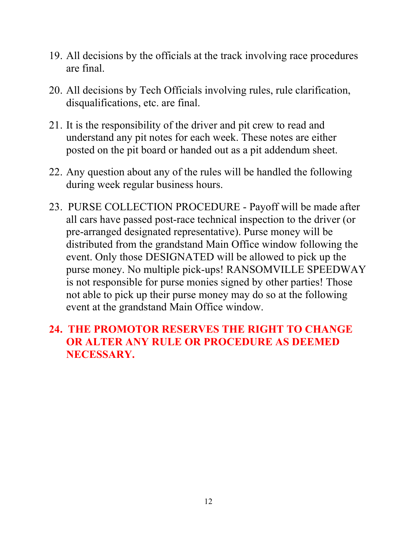- 19. All decisions by the officials at the track involving race procedures are final.
- 20. All decisions by Tech Officials involving rules, rule clarification, disqualifications, etc. are final.
- 21. It is the responsibility of the driver and pit crew to read and understand any pit notes for each week. These notes are either posted on the pit board or handed out as a pit addendum sheet.
- 22. Any question about any of the rules will be handled the following during week regular business hours.
- 23. PURSE COLLECTION PROCEDURE Payoff will be made after all cars have passed post-race technical inspection to the driver (or pre-arranged designated representative). Purse money will be distributed from the grandstand Main Office window following the event. Only those DESIGNATED will be allowed to pick up the purse money. No multiple pick-ups! RANSOMVILLE SPEEDWAY is not responsible for purse monies signed by other parties! Those not able to pick up their purse money may do so at the following event at the grandstand Main Office window.

# 24. THE PROMOTOR RESERVES THE RIGHT TO CHANGE OR ALTER ANY RULE OR PROCEDURE AS DEEMED NECESSARY.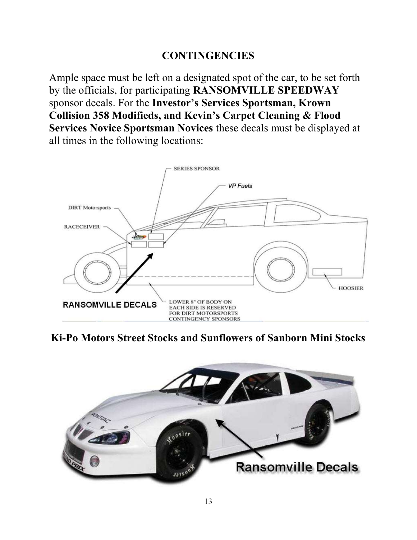### **CONTINGENCIES**

Ample space must be left on a designated spot of the car, to be set forth by the officials, for participating RANSOMVILLE SPEEDWAY sponsor decals. For the Investor's Services Sportsman, Krown Collision 358 Modifieds, and Kevin's Carpet Cleaning & Flood Services Novice Sportsman Novices these decals must be displayed at all times in the following locations:



Ki-Po Motors Street Stocks and Sunflowers of Sanborn Mini Stocks

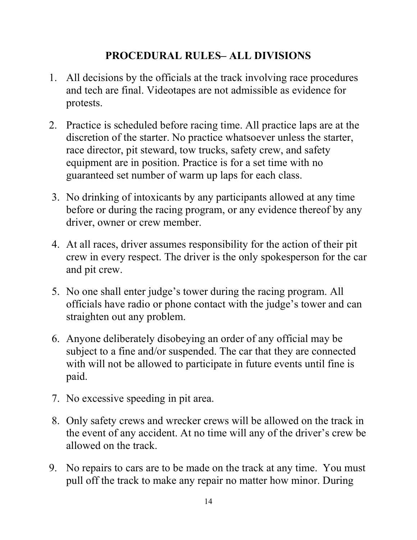# PROCEDURAL RULES– ALL DIVISIONS

- 1. All decisions by the officials at the track involving race procedures and tech are final. Videotapes are not admissible as evidence for protests.
- 2. Practice is scheduled before racing time. All practice laps are at the discretion of the starter. No practice whatsoever unless the starter, race director, pit steward, tow trucks, safety crew, and safety equipment are in position. Practice is for a set time with no guaranteed set number of warm up laps for each class.
- 3. No drinking of intoxicants by any participants allowed at any time before or during the racing program, or any evidence thereof by any driver, owner or crew member.
- 4. At all races, driver assumes responsibility for the action of their pit crew in every respect. The driver is the only spokesperson for the car and pit crew.
- 5. No one shall enter judge's tower during the racing program. All officials have radio or phone contact with the judge's tower and can straighten out any problem.
- 6. Anyone deliberately disobeying an order of any official may be subject to a fine and/or suspended. The car that they are connected with will not be allowed to participate in future events until fine is paid.
- 7. No excessive speeding in pit area.
- 8. Only safety crews and wrecker crews will be allowed on the track in the event of any accident. At no time will any of the driver's crew be allowed on the track.
- 9. No repairs to cars are to be made on the track at any time. You must pull off the track to make any repair no matter how minor. During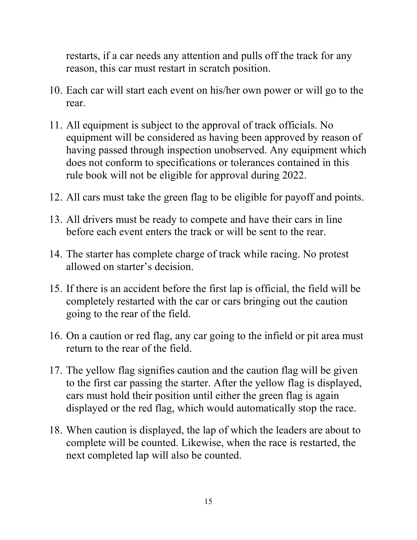restarts, if a car needs any attention and pulls off the track for any reason, this car must restart in scratch position.

- 10. Each car will start each event on his/her own power or will go to the rear.
- 11. All equipment is subject to the approval of track officials. No equipment will be considered as having been approved by reason of having passed through inspection unobserved. Any equipment which does not conform to specifications or tolerances contained in this rule book will not be eligible for approval during 2022.
- 12. All cars must take the green flag to be eligible for payoff and points.
- 13. All drivers must be ready to compete and have their cars in line before each event enters the track or will be sent to the rear.
- 14. The starter has complete charge of track while racing. No protest allowed on starter's decision.
- 15. If there is an accident before the first lap is official, the field will be completely restarted with the car or cars bringing out the caution going to the rear of the field.
- 16. On a caution or red flag, any car going to the infield or pit area must return to the rear of the field.
- 17. The yellow flag signifies caution and the caution flag will be given to the first car passing the starter. After the yellow flag is displayed, cars must hold their position until either the green flag is again displayed or the red flag, which would automatically stop the race.
- 18. When caution is displayed, the lap of which the leaders are about to complete will be counted. Likewise, when the race is restarted, the next completed lap will also be counted.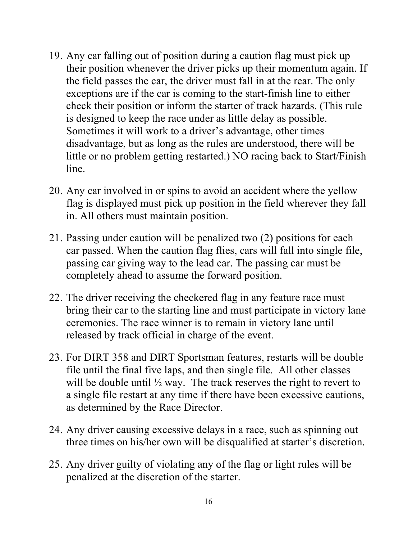- 19. Any car falling out of position during a caution flag must pick up their position whenever the driver picks up their momentum again. If the field passes the car, the driver must fall in at the rear. The only exceptions are if the car is coming to the start-finish line to either check their position or inform the starter of track hazards. (This rule is designed to keep the race under as little delay as possible. Sometimes it will work to a driver's advantage, other times disadvantage, but as long as the rules are understood, there will be little or no problem getting restarted.) NO racing back to Start/Finish line.
- 20. Any car involved in or spins to avoid an accident where the yellow flag is displayed must pick up position in the field wherever they fall in. All others must maintain position.
- 21. Passing under caution will be penalized two (2) positions for each car passed. When the caution flag flies, cars will fall into single file, passing car giving way to the lead car. The passing car must be completely ahead to assume the forward position.
- 22. The driver receiving the checkered flag in any feature race must bring their car to the starting line and must participate in victory lane ceremonies. The race winner is to remain in victory lane until released by track official in charge of the event.
- 23. For DIRT 358 and DIRT Sportsman features, restarts will be double file until the final five laps, and then single file. All other classes will be double until  $\frac{1}{2}$  way. The track reserves the right to revert to a single file restart at any time if there have been excessive cautions, as determined by the Race Director.
- 24. Any driver causing excessive delays in a race, such as spinning out three times on his/her own will be disqualified at starter's discretion.
- 25. Any driver guilty of violating any of the flag or light rules will be penalized at the discretion of the starter.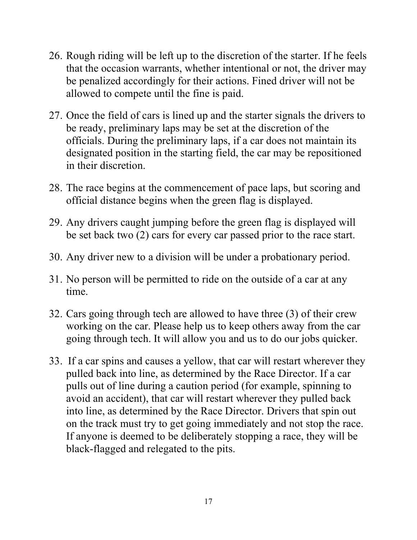- 26. Rough riding will be left up to the discretion of the starter. If he feels that the occasion warrants, whether intentional or not, the driver may be penalized accordingly for their actions. Fined driver will not be allowed to compete until the fine is paid.
- 27. Once the field of cars is lined up and the starter signals the drivers to be ready, preliminary laps may be set at the discretion of the officials. During the preliminary laps, if a car does not maintain its designated position in the starting field, the car may be repositioned in their discretion.
- 28. The race begins at the commencement of pace laps, but scoring and official distance begins when the green flag is displayed.
- 29. Any drivers caught jumping before the green flag is displayed will be set back two (2) cars for every car passed prior to the race start.
- 30. Any driver new to a division will be under a probationary period.
- 31. No person will be permitted to ride on the outside of a car at any time.
- 32. Cars going through tech are allowed to have three (3) of their crew working on the car. Please help us to keep others away from the car going through tech. It will allow you and us to do our jobs quicker.
- 33. If a car spins and causes a yellow, that car will restart wherever they pulled back into line, as determined by the Race Director. If a car pulls out of line during a caution period (for example, spinning to avoid an accident), that car will restart wherever they pulled back into line, as determined by the Race Director. Drivers that spin out on the track must try to get going immediately and not stop the race. If anyone is deemed to be deliberately stopping a race, they will be black-flagged and relegated to the pits.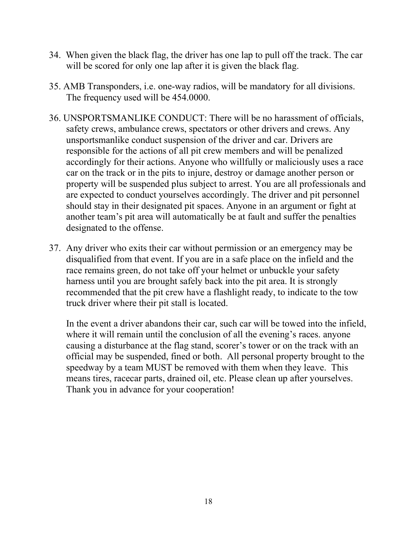- 34. When given the black flag, the driver has one lap to pull off the track. The car will be scored for only one lap after it is given the black flag.
- 35. AMB Transponders, i.e. one-way radios, will be mandatory for all divisions. The frequency used will be 454.0000.
- 36. UNSPORTSMANLIKE CONDUCT: There will be no harassment of officials, safety crews, ambulance crews, spectators or other drivers and crews. Any unsportsmanlike conduct suspension of the driver and car. Drivers are responsible for the actions of all pit crew members and will be penalized accordingly for their actions. Anyone who willfully or maliciously uses a race car on the track or in the pits to injure, destroy or damage another person or property will be suspended plus subject to arrest. You are all professionals and are expected to conduct yourselves accordingly. The driver and pit personnel should stay in their designated pit spaces. Anyone in an argument or fight at another team's pit area will automatically be at fault and suffer the penalties designated to the offense.
- 37. Any driver who exits their car without permission or an emergency may be disqualified from that event. If you are in a safe place on the infield and the race remains green, do not take off your helmet or unbuckle your safety harness until you are brought safely back into the pit area. It is strongly recommended that the pit crew have a flashlight ready, to indicate to the tow truck driver where their pit stall is located.

In the event a driver abandons their car, such car will be towed into the infield, where it will remain until the conclusion of all the evening's races, anyone causing a disturbance at the flag stand, scorer's tower or on the track with an official may be suspended, fined or both. All personal property brought to the speedway by a team MUST be removed with them when they leave. This means tires, racecar parts, drained oil, etc. Please clean up after yourselves. Thank you in advance for your cooperation!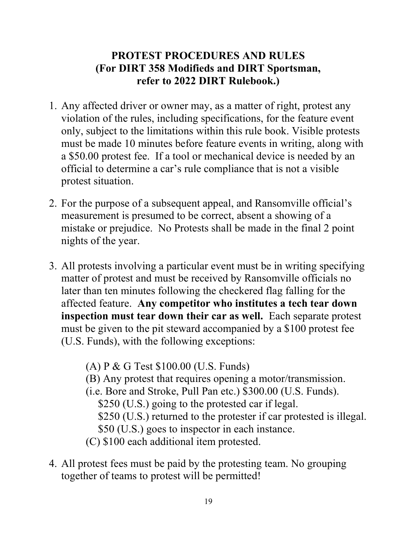# PROTEST PROCEDURES AND RULES (For DIRT 358 Modifieds and DIRT Sportsman, refer to 2022 DIRT Rulebook.)

- 1. Any affected driver or owner may, as a matter of right, protest any violation of the rules, including specifications, for the feature event only, subject to the limitations within this rule book. Visible protests must be made 10 minutes before feature events in writing, along with a \$50.00 protest fee. If a tool or mechanical device is needed by an official to determine a car's rule compliance that is not a visible protest situation.
- 2. For the purpose of a subsequent appeal, and Ransomville official's measurement is presumed to be correct, absent a showing of a mistake or prejudice. No Protests shall be made in the final 2 point nights of the year.
- 3. All protests involving a particular event must be in writing specifying matter of protest and must be received by Ransomville officials no later than ten minutes following the checkered flag falling for the affected feature. Any competitor who institutes a tech tear down inspection must tear down their car as well. Each separate protest must be given to the pit steward accompanied by a \$100 protest fee (U.S. Funds), with the following exceptions:

(A) P & G Test \$100.00 (U.S. Funds) (B) Any protest that requires opening a motor/transmission. (i.e. Bore and Stroke, Pull Pan etc.) \$300.00 (U.S. Funds). \$250 (U.S.) going to the protested car if legal. \$250 (U.S.) returned to the protester if car protested is illegal. \$50 (U.S.) goes to inspector in each instance. (C) \$100 each additional item protested.

4. All protest fees must be paid by the protesting team. No grouping together of teams to protest will be permitted!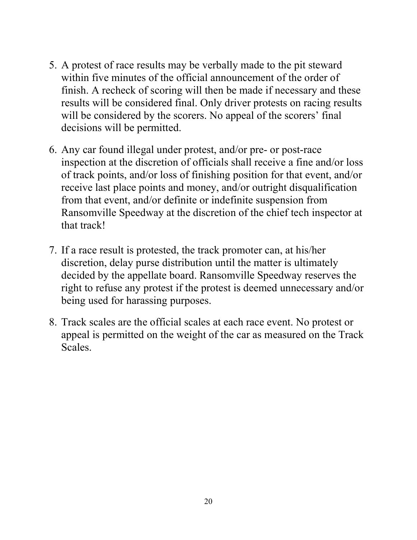- 5. A protest of race results may be verbally made to the pit steward within five minutes of the official announcement of the order of finish. A recheck of scoring will then be made if necessary and these results will be considered final. Only driver protests on racing results will be considered by the scorers. No appeal of the scorers' final decisions will be permitted.
- 6. Any car found illegal under protest, and/or pre- or post-race inspection at the discretion of officials shall receive a fine and/or loss of track points, and/or loss of finishing position for that event, and/or receive last place points and money, and/or outright disqualification from that event, and/or definite or indefinite suspension from Ransomville Speedway at the discretion of the chief tech inspector at that track!
- 7. If a race result is protested, the track promoter can, at his/her discretion, delay purse distribution until the matter is ultimately decided by the appellate board. Ransomville Speedway reserves the right to refuse any protest if the protest is deemed unnecessary and/or being used for harassing purposes.
- 8. Track scales are the official scales at each race event. No protest or appeal is permitted on the weight of the car as measured on the Track Scales.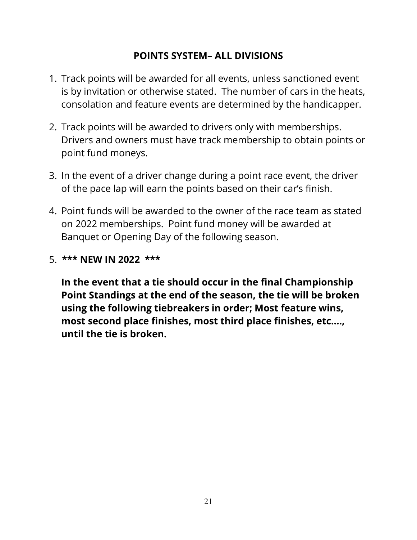### POINTS SYSTEM– ALL DIVISIONS

- 1. Track points will be awarded for all events, unless sanctioned event is by invitation or otherwise stated. The number of cars in the heats, consolation and feature events are determined by the handicapper.
- 2. Track points will be awarded to drivers only with memberships. Drivers and owners must have track membership to obtain points or point fund moneys.
- 3. In the event of a driver change during a point race event, the driver of the pace lap will earn the points based on their car's finish.
- 4. Point funds will be awarded to the owner of the race team as stated on 2022 memberships. Point fund money will be awarded at Banquet or Opening Day of the following season.
- 5. \*\*\* NEW IN 2022 \*\*\*

In the event that a tie should occur in the final Championship Point Standings at the end of the season, the tie will be broken using the following tiebreakers in order; Most feature wins, most second place finishes, most third place finishes, etc.…, until the tie is broken.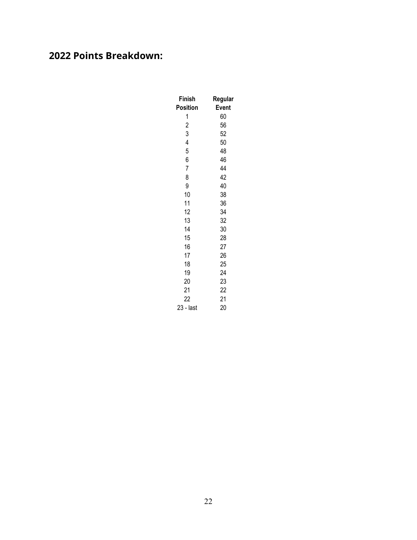# 2022 Points Breakdown:

| Finish         | Regular |  |
|----------------|---------|--|
| Position       | Event   |  |
| 1              | 60      |  |
| $\overline{c}$ | 56      |  |
| 3              | 52      |  |
| 4              | 50      |  |
| 5              | 48      |  |
| 6              | 46      |  |
| $\overline{7}$ | 44      |  |
| 8              | 42      |  |
| 9              | 40      |  |
| 10             | 38      |  |
| 11             | 36      |  |
| 12             | 34      |  |
| 13             | 32      |  |
| 14             | 30      |  |
| 15             | 28      |  |
| 16             | 27      |  |
| 17             | 26      |  |
| 18             | 25      |  |
| 19             | 24      |  |
| 20             | 23      |  |
| 21             | 22      |  |
| 22             | 21      |  |
| 23 - last      | 20      |  |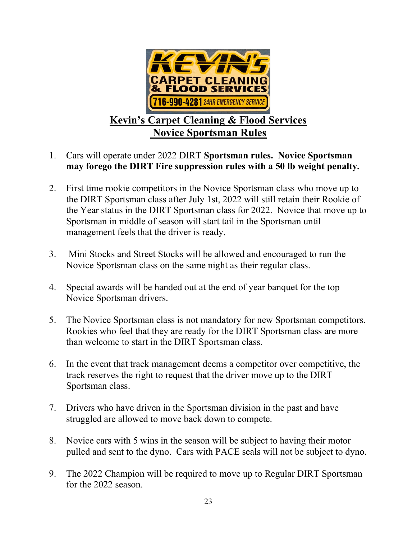

# Kevin's Carpet Cleaning & Flood Services Novice Sportsman Rules

- 1. Cars will operate under 2022 DIRT Sportsman rules. Novice Sportsman may forego the DIRT Fire suppression rules with a 50 lb weight penalty.
- 2. First time rookie competitors in the Novice Sportsman class who move up to the DIRT Sportsman class after July 1st, 2022 will still retain their Rookie of the Year status in the DIRT Sportsman class for 2022. Novice that move up to Sportsman in middle of season will start tail in the Sportsman until management feels that the driver is ready.
- 3. Mini Stocks and Street Stocks will be allowed and encouraged to run the Novice Sportsman class on the same night as their regular class.
- 4. Special awards will be handed out at the end of year banquet for the top Novice Sportsman drivers.
- 5. The Novice Sportsman class is not mandatory for new Sportsman competitors. Rookies who feel that they are ready for the DIRT Sportsman class are more than welcome to start in the DIRT Sportsman class.
- 6. In the event that track management deems a competitor over competitive, the track reserves the right to request that the driver move up to the DIRT Sportsman class.
- 7. Drivers who have driven in the Sportsman division in the past and have struggled are allowed to move back down to compete.
- 8. Novice cars with 5 wins in the season will be subject to having their motor pulled and sent to the dyno. Cars with PACE seals will not be subject to dyno.
- 9. The 2022 Champion will be required to move up to Regular DIRT Sportsman for the 2022 season.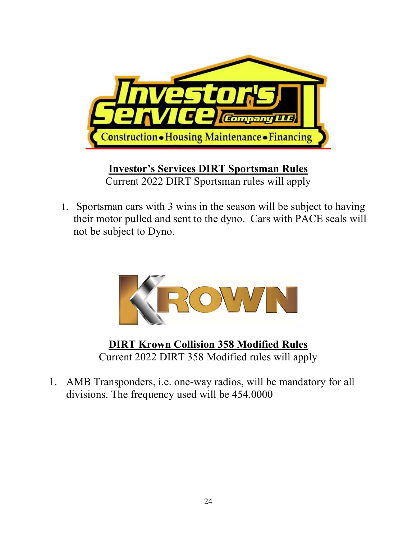

Investor's Services DIRT Sportsman Rules Current 2022 DIRT Sportsman rules will apply

1. Sportsman cars with 3 wins in the season will be subject to having their motor pulled and sent to the dyno. Cars with PACE seals will not be subject to Dyno.



DIRT Krown Collision 358 Modified Rules Current 2022 DIRT 358 Modified rules will apply

1. AMB Transponders, i.e. one-way radios, will be mandatory for all divisions. The frequency used will be 454.0000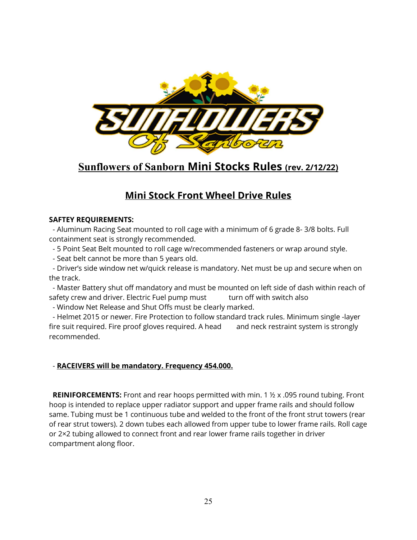

# Sunflowers of Sanborn Mini Stocks Rules (rev. 2/12/22)

### Mini Stock Front Wheel Drive Rules

#### SAFTEY REQUIREMENTS:

 - Aluminum Racing Seat mounted to roll cage with a minimum of 6 grade 8- 3/8 bolts. Full containment seat is strongly recommended.

- 5 Point Seat Belt mounted to roll cage w/recommended fasteners or wrap around style.
- Seat belt cannot be more than 5 years old.

 - Driver's side window net w/quick release is mandatory. Net must be up and secure when on the track.

 - Master Battery shut off mandatory and must be mounted on left side of dash within reach of safety crew and driver. Electric Fuel pump must turn off with switch also

- Window Net Release and Shut Offs must be clearly marked.

 - Helmet 2015 or newer. Fire Protection to follow standard track rules. Minimum single -layer fire suit required. Fire proof gloves required. A head and neck restraint system is strongly recommended.

#### - RACEIVERS will be mandatory. Frequency 454.000.

**REINIFORCEMENTS:** Front and rear hoops permitted with min. 1  $\frac{1}{2}$  x .095 round tubing. Front hoop is intended to replace upper radiator support and upper frame rails and should follow same. Tubing must be 1 continuous tube and welded to the front of the front strut towers (rear of rear strut towers). 2 down tubes each allowed from upper tube to lower frame rails. Roll cage or 2×2 tubing allowed to connect front and rear lower frame rails together in driver compartment along floor.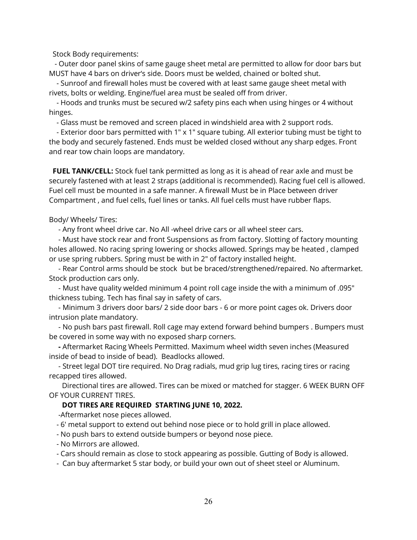Stock Body requirements:

 - Outer door panel skins of same gauge sheet metal are permitted to allow for door bars but MUST have 4 bars on driver's side. Doors must be welded, chained or bolted shut.

 - Sunroof and firewall holes must be covered with at least same gauge sheet metal with rivets, bolts or welding. Engine/fuel area must be sealed off from driver.

 - Hoods and trunks must be secured w/2 safety pins each when using hinges or 4 without hinges.

- Glass must be removed and screen placed in windshield area with 2 support rods.

 - Exterior door bars permitted with 1″ x 1″ square tubing. All exterior tubing must be tight to the body and securely fastened. Ends must be welded closed without any sharp edges. Front and rear tow chain loops are mandatory.

FUEL TANK/CELL: Stock fuel tank permitted as long as it is ahead of rear axle and must be securely fastened with at least 2 straps (additional is recommended). Racing fuel cell is allowed. Fuel cell must be mounted in a safe manner. A firewall Must be in Place between driver Compartment , and fuel cells, fuel lines or tanks. All fuel cells must have rubber flaps.

Body/ Wheels/ Tires:

- Any front wheel drive car. No All -wheel drive cars or all wheel steer cars.

 - Must have stock rear and front Suspensions as from factory. Slotting of factory mounting holes allowed. No racing spring lowering or shocks allowed. Springs may be heated , clamped or use spring rubbers. Spring must be with in 2" of factory installed height.

 - Rear Control arms should be stock but be braced/strengthened/repaired. No aftermarket. Stock production cars only.

 - Must have quality welded minimum 4 point roll cage inside the with a minimum of .095" thickness tubing. Tech has final say in safety of cars.

 - Minimum 3 drivers door bars/ 2 side door bars - 6 or more point cages ok. Drivers door intrusion plate mandatory.

 - No push bars past firewall. Roll cage may extend forward behind bumpers . Bumpers must be covered in some way with no exposed sharp corners.

 - Aftermarket Racing Wheels Permitted. Maximum wheel width seven inches (Measured inside of bead to inside of bead). Beadlocks allowed.

 - Street legal DOT tire required. No Drag radials, mud grip lug tires, racing tires or racing recapped tires allowed.

 Directional tires are allowed. Tires can be mixed or matched for stagger. 6 WEEK BURN OFF OF YOUR CURRENT TIRES.

#### DOT TIRES ARE REQUIRED STARTING JUNE 10, 2022.

-Aftermarket nose pieces allowed.

- 6' metal support to extend out behind nose piece or to hold grill in place allowed.

- No push bars to extend outside bumpers or beyond nose piece.
- No Mirrors are allowed.

- Cars should remain as close to stock appearing as possible. Gutting of Body is allowed.

- Can buy aftermarket 5 star body, or build your own out of sheet steel or Aluminum.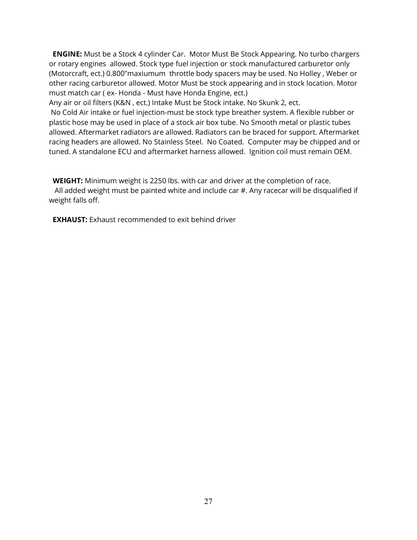**ENGINE:** Must be a Stock 4 cylinder Car. Motor Must Be Stock Appearing. No turbo chargers or rotary engines allowed. Stock type fuel injection or stock manufactured carburetor only (Motorcraft, ect.) 0.800"maxiumum throttle body spacers may be used. No Holley , Weber or other racing carburetor allowed. Motor Must be stock appearing and in stock location. Motor must match car ( ex- Honda - Must have Honda Engine, ect.)

Any air or oil filters (K&N , ect.) Intake Must be Stock intake. No Skunk 2, ect.

 No Cold Air intake or fuel injection-must be stock type breather system. A flexible rubber or plastic hose may be used in place of a stock air box tube. No Smooth metal or plastic tubes allowed. Aftermarket radiators are allowed. Radiators can be braced for support. Aftermarket racing headers are allowed. No Stainless Steel. No Coated. Computer may be chipped and or tuned. A standalone ECU and aftermarket harness allowed. Ignition coil must remain OEM.

WEIGHT: Minimum weight is 2250 lbs. with car and driver at the completion of race. All added weight must be painted white and include car #. Any racecar will be disqualified if weight falls off.

**EXHAUST:** Exhaust recommended to exit behind driver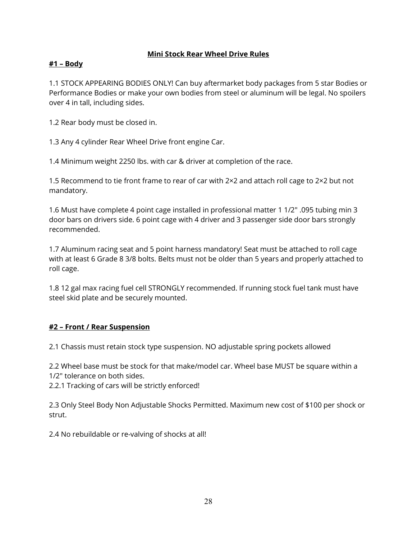#### Mini Stock Rear Wheel Drive Rules

### #1 – Body

1.1 STOCK APPEARING BODIES ONLY! Can buy aftermarket body packages from 5 star Bodies or Performance Bodies or make your own bodies from steel or aluminum will be legal. No spoilers over 4 in tall, including sides.

1.2 Rear body must be closed in.

1.3 Any 4 cylinder Rear Wheel Drive front engine Car.

1.4 Minimum weight 2250 lbs. with car & driver at completion of the race.

1.5 Recommend to tie front frame to rear of car with 2×2 and attach roll cage to 2×2 but not mandatory.

1.6 Must have complete 4 point cage installed in professional matter 1 1/2″ .095 tubing min 3 door bars on drivers side. 6 point cage with 4 driver and 3 passenger side door bars strongly recommended.

1.7 Aluminum racing seat and 5 point harness mandatory! Seat must be attached to roll cage with at least 6 Grade 8 3/8 bolts. Belts must not be older than 5 years and properly attached to roll cage.

1.8 12 gal max racing fuel cell STRONGLY recommended. If running stock fuel tank must have steel skid plate and be securely mounted.

#### #2 – Front / Rear Suspension

2.1 Chassis must retain stock type suspension. NO adjustable spring pockets allowed

2.2 Wheel base must be stock for that make/model car. Wheel base MUST be square within a 1/2″ tolerance on both sides.

2.2.1 Tracking of cars will be strictly enforced!

2.3 Only Steel Body Non Adjustable Shocks Permitted. Maximum new cost of \$100 per shock or strut.

2.4 No rebuildable or re-valving of shocks at all!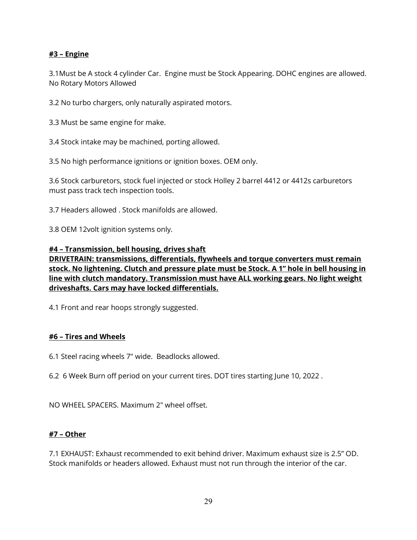#### #3 – Engine

3.1Must be A stock 4 cylinder Car. Engine must be Stock Appearing. DOHC engines are allowed. No Rotary Motors Allowed

3.2 No turbo chargers, only naturally aspirated motors.

3.3 Must be same engine for make.

3.4 Stock intake may be machined, porting allowed.

3.5 No high performance ignitions or ignition boxes. OEM only.

3.6 Stock carburetors, stock fuel injected or stock Holley 2 barrel 4412 or 4412s carburetors must pass track tech inspection tools.

3.7 Headers allowed . Stock manifolds are allowed.

3.8 OEM 12volt ignition systems only.

#### #4 – Transmission, bell housing, drives shaft

DRIVETRAIN: transmissions, differentials, flywheels and torque converters must remain stock. No lightening. Clutch and pressure plate must be Stock. A 1" hole in bell housing in line with clutch mandatory. Transmission must have ALL working gears. No light weight driveshafts. Cars may have locked differentials.

4.1 Front and rear hoops strongly suggested.

#### #6 – Tires and Wheels

6.1 Steel racing wheels 7" wide. Beadlocks allowed.

6.2 6 Week Burn off period on your current tires. DOT tires starting June 10, 2022 .

NO WHEEL SPACERS. Maximum 2" wheel offset.

#### #7 – Other

7.1 EXHAUST: Exhaust recommended to exit behind driver. Maximum exhaust size is 2.5" OD. Stock manifolds or headers allowed. Exhaust must not run through the interior of the car.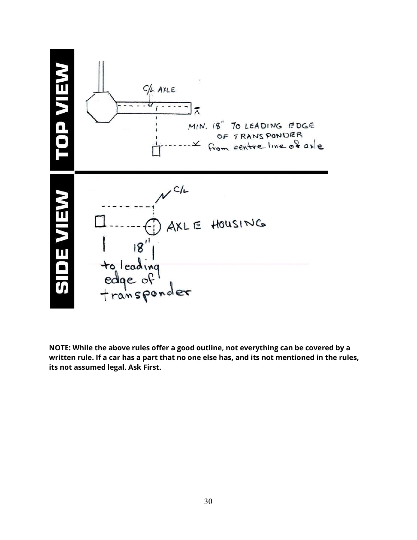

NOTE: While the above rules offer a good outline, not everything can be covered by a written rule. If a car has a part that no one else has, and its not mentioned in the rules, its not assumed legal. Ask First.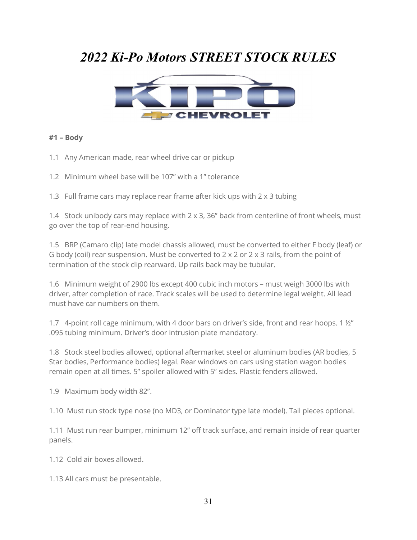# 2022 Ki-Po Motors STREET STOCK RULES



#### #1 – Body

- 1.1 Any American made, rear wheel drive car or pickup
- 1.2 Minimum wheel base will be 107" with a 1" tolerance

1.3 Full frame cars may replace rear frame after kick ups with 2 x 3 tubing

1.4 Stock unibody cars may replace with  $2 \times 3$ , 36" back from centerline of front wheels, must go over the top of rear-end housing.

1.5 BRP (Camaro clip) late model chassis allowed, must be converted to either F body (leaf) or G body (coil) rear suspension. Must be converted to 2 x 2 or 2 x 3 rails, from the point of termination of the stock clip rearward. Up rails back may be tubular.

1.6 Minimum weight of 2900 lbs except 400 cubic inch motors – must weigh 3000 lbs with driver, after completion of race. Track scales will be used to determine legal weight. All lead must have car numbers on them.

1.7 4-point roll cage minimum, with 4 door bars on driver's side, front and rear hoops. 1 ½" .095 tubing minimum. Driver's door intrusion plate mandatory.

1.8 Stock steel bodies allowed, optional aftermarket steel or aluminum bodies (AR bodies, 5 Star bodies, Performance bodies) legal. Rear windows on cars using station wagon bodies remain open at all times. 5" spoiler allowed with 5" sides. Plastic fenders allowed.

1.9 Maximum body width 82".

1.10 Must run stock type nose (no MD3, or Dominator type late model). Tail pieces optional.

1.11 Must run rear bumper, minimum 12" off track surface, and remain inside of rear quarter panels.

1.12 Cold air boxes allowed.

1.13 All cars must be presentable.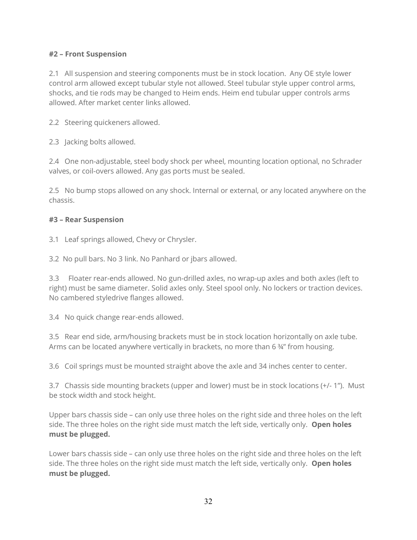#### #2 – Front Suspension

2.1 All suspension and steering components must be in stock location. Any OE style lower control arm allowed except tubular style not allowed. Steel tubular style upper control arms, shocks, and tie rods may be changed to Heim ends. Heim end tubular upper controls arms allowed. After market center links allowed.

2.2 Steering quickeners allowed.

2.3 Jacking bolts allowed.

2.4 One non-adjustable, steel body shock per wheel, mounting location optional, no Schrader valves, or coil-overs allowed. Any gas ports must be sealed.

2.5 No bump stops allowed on any shock. Internal or external, or any located anywhere on the chassis.

### #3 – Rear Suspension

3.1 Leaf springs allowed, Chevy or Chrysler.

3.2 No pull bars. No 3 link. No Panhard or jbars allowed.

3.3 Floater rear-ends allowed. No gun-drilled axles, no wrap-up axles and both axles (left to right) must be same diameter. Solid axles only. Steel spool only. No lockers or traction devices. No cambered styledrive flanges allowed.

3.4 No quick change rear-ends allowed.

3.5 Rear end side, arm/housing brackets must be in stock location horizontally on axle tube. Arms can be located anywhere vertically in brackets, no more than 6  $\frac{3}{4}$ " from housing.

3.6 Coil springs must be mounted straight above the axle and 34 inches center to center.

3.7 Chassis side mounting brackets (upper and lower) must be in stock locations (+/- 1"). Must be stock width and stock height.

Upper bars chassis side – can only use three holes on the right side and three holes on the left side. The three holes on the right side must match the left side, vertically only. Open holes must be plugged.

Lower bars chassis side – can only use three holes on the right side and three holes on the left side. The three holes on the right side must match the left side, vertically only. **Open holes** must be plugged.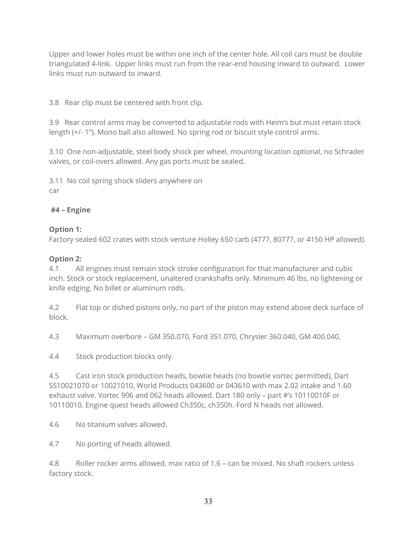Upper and lower holes must be within one inch of the center hole. All coil cars must be double triangulated 4-link. Upper links must run from the rear-end housing inward to outward. Lower links must run outward to inward.

3.8 Rear clip must be centered with front clip.

3.9 Rear control arms may be converted to adjustable rods with Heim's but must retain stock length (+/- 1"). Mono ball also allowed. No spring rod or biscuit style control arms.

3.10 One non-adjustable, steel body shock per wheel, mounting location optional, no Schrader valves, or coil-overs allowed. Any gas ports must be sealed.

3.11 No coil spring shock sliders anywhere on car

### #4 – Engine

### Option 1:

Factory sealed 602 crates with stock venture Holley 650 carb (4777, 80777, or 4150 HP allowed).

### Option 2:

4.1 All engines must remain stock stroke configuration for that manufacturer and cubic inch. Stock or stock replacement, unaltered crankshafts only. Minimum 46 lbs, no lightening or knife edging. No billet or aluminum rods.

4.2 Flat top or dished pistons only, no part of the piston may extend above deck surface of block.

4.3 Maximum overbore – GM 350.070, Ford 351.070, Chrysler 360.040, GM 400.040.

4.4 Stock production blocks only.

4.5 Cast iron stock production heads, bowtie heads (no bowtie vortec permitted), Dart SS10021070 or 10021010, World Products 043600 or 043610 with max 2.02 intake and 1.60 exhaust valve. Vortec 906 and 062 heads allowed. Dart 180 only – part #'s 10110010F or 10110010. Engine quest heads allowed Ch350c, ch350h. Ford N heads not allowed.

4.6 No titanium valves allowed.

4.7 No porting of heads allowed.

4.8 Roller rocker arms allowed, max ratio of 1.6 – can be mixed. No shaft rockers unless factory stock.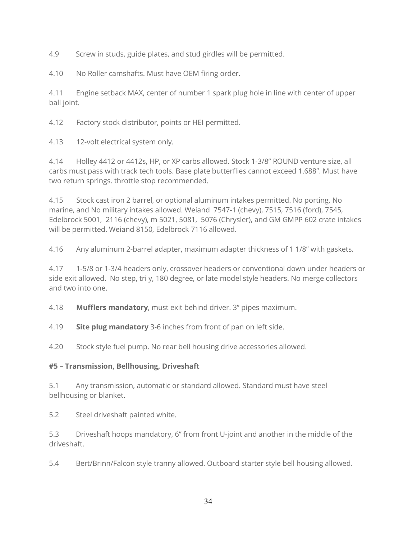4.9 Screw in studs, guide plates, and stud girdles will be permitted.

4.10 No Roller camshafts. Must have OEM firing order.

4.11 Engine setback MAX, center of number 1 spark plug hole in line with center of upper ball joint.

4.12 Factory stock distributor, points or HEI permitted.

4.13 12-volt electrical system only.

4.14 Holley 4412 or 4412s, HP, or XP carbs allowed. Stock 1-3/8" ROUND venture size, all carbs must pass with track tech tools. Base plate butterflies cannot exceed 1.688". Must have two return springs. throttle stop recommended.

4.15 Stock cast iron 2 barrel, or optional aluminum intakes permitted. No porting, No marine, and No military intakes allowed. Weiand 7547-1 (chevy), 7515, 7516 (ford), 7545, Edelbrock 5001, 2116 (chevy), m 5021, 5081, 5076 (Chrysler), and GM GMPP 602 crate intakes will be permitted. Weiand 8150, Edelbrock 7116 allowed.

4.16 Any aluminum 2-barrel adapter, maximum adapter thickness of 1 1/8" with gaskets.

4.17 1-5/8 or 1-3/4 headers only, crossover headers or conventional down under headers or side exit allowed. No step, tri y, 180 degree, or late model style headers. No merge collectors and two into one.

4.18 **Mufflers mandatory**, must exit behind driver. 3" pipes maximum.

4.19 Site plug mandatory 3-6 inches from front of pan on left side.

4.20 Stock style fuel pump. No rear bell housing drive accessories allowed.

### #5 – Transmission, Bellhousing, Driveshaft

5.1 Any transmission, automatic or standard allowed. Standard must have steel bellhousing or blanket.

5.2 Steel driveshaft painted white.

5.3 Driveshaft hoops mandatory, 6" from front U-joint and another in the middle of the driveshaft.

5.4 Bert/Brinn/Falcon style tranny allowed. Outboard starter style bell housing allowed.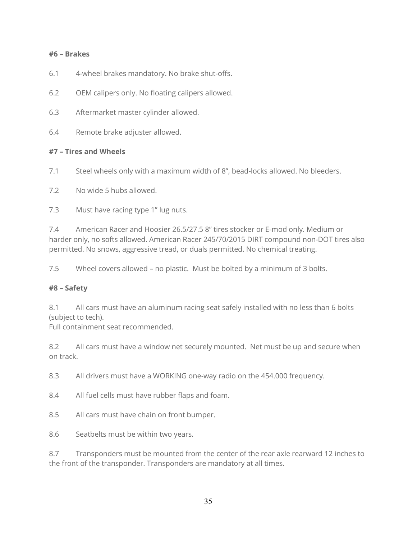#### #6 – Brakes

- 6.1 4-wheel brakes mandatory. No brake shut-offs.
- 6.2 OEM calipers only. No floating calipers allowed.
- 6.3 Aftermarket master cylinder allowed.
- 6.4 Remote brake adjuster allowed.

#### #7 – Tires and Wheels

- 7.1 Steel wheels only with a maximum width of 8", bead-locks allowed. No bleeders.
- 7.2 No wide 5 hubs allowed.
- 7.3 Must have racing type 1" lug nuts.

7.4 American Racer and Hoosier 26.5/27.5 8" tires stocker or E-mod only. Medium or harder only, no softs allowed. American Racer 245/70/2015 DIRT compound non-DOT tires also permitted. No snows, aggressive tread, or duals permitted. No chemical treating.

7.5 Wheel covers allowed – no plastic. Must be bolted by a minimum of 3 bolts.

#### #8 – Safety

8.1 All cars must have an aluminum racing seat safely installed with no less than 6 bolts (subject to tech).

Full containment seat recommended.

8.2 All cars must have a window net securely mounted. Net must be up and secure when on track.

- 8.3 All drivers must have a WORKING one-way radio on the 454.000 frequency.
- 8.4 All fuel cells must have rubber flaps and foam.
- 8.5 All cars must have chain on front bumper.
- 8.6 Seatbelts must be within two years.

8.7 Transponders must be mounted from the center of the rear axle rearward 12 inches to the front of the transponder. Transponders are mandatory at all times.